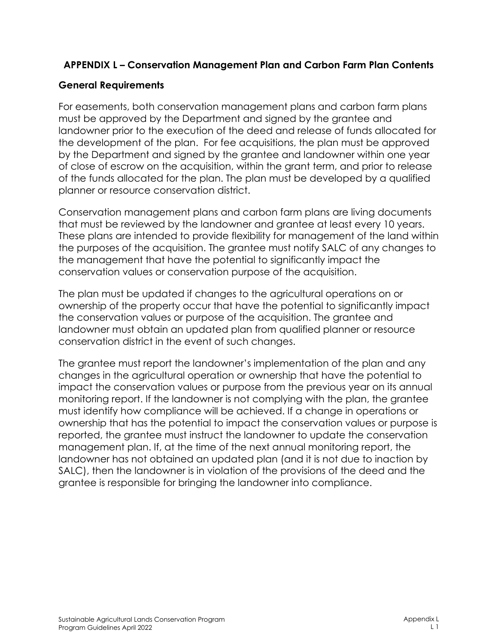## **APPENDIX L – Conservation Management Plan and Carbon Farm Plan Contents**

## **General Requirements**

For easements, both conservation management plans and carbon farm plans must be approved by the Department and signed by the grantee and landowner prior to the execution of the deed and release of funds allocated for the development of the plan. For fee acquisitions, the plan must be approved by the Department and signed by the grantee and landowner within one year of close of escrow on the acquisition, within the grant term, and prior to release of the funds allocated for the plan. The plan must be developed by a qualified planner or resource conservation district.

Conservation management plans and carbon farm plans are living documents that must be reviewed by the landowner and grantee at least every 10 years. These plans are intended to provide flexibility for management of the land within the purposes of the acquisition. The grantee must notify SALC of any changes to the management that have the potential to significantly impact the conservation values or conservation purpose of the acquisition.

The plan must be updated if changes to the agricultural operations on or ownership of the property occur that have the potential to significantly impact the conservation values or purpose of the acquisition. The grantee and landowner must obtain an updated plan from qualified planner or resource conservation district in the event of such changes.

The grantee must report the landowner's implementation of the plan and any changes in the agricultural operation or ownership that have the potential to impact the conservation values or purpose from the previous year on its annual monitoring report. If the landowner is not complying with the plan, the grantee must identify how compliance will be achieved. If a change in operations or ownership that has the potential to impact the conservation values or purpose is reported, the grantee must instruct the landowner to update the conservation management plan. If, at the time of the next annual monitoring report, the landowner has not obtained an updated plan (and it is not due to inaction by SALC), then the landowner is in violation of the provisions of the deed and the grantee is responsible for bringing the landowner into compliance.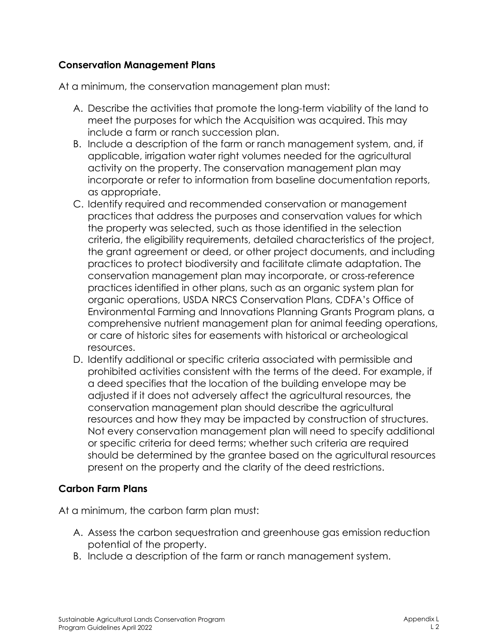## **Conservation Management Plans**

At a minimum, the conservation management plan must:

- A. Describe the activities that promote the long-term viability of the land to meet the purposes for which the Acquisition was acquired. This may include a farm or ranch succession plan.
- B. Include a description of the farm or ranch management system, and, if applicable, irrigation water right volumes needed for the agricultural activity on the property. The conservation management plan may incorporate or refer to information from baseline documentation reports, as appropriate.
- C. Identify required and recommended conservation or management practices that address the purposes and conservation values for which the property was selected, such as those identified in the selection criteria, the eligibility requirements, detailed characteristics of the project, the grant agreement or deed, or other project documents, and including practices to protect biodiversity and facilitate climate adaptation. The conservation management plan may incorporate, or cross-reference practices identified in other plans, such as an organic system plan for organic operations, USDA NRCS Conservation Plans, CDFA's Office of Environmental Farming and Innovations Planning Grants Program plans, a comprehensive nutrient management plan for animal feeding operations, or care of historic sites for easements with historical or archeological resources.
- D. Identify additional or specific criteria associated with permissible and prohibited activities consistent with the terms of the deed. For example, if a deed specifies that the location of the building envelope may be adjusted if it does not adversely affect the agricultural resources, the conservation management plan should describe the agricultural resources and how they may be impacted by construction of structures. Not every conservation management plan will need to specify additional or specific criteria for deed terms; whether such criteria are required should be determined by the grantee based on the agricultural resources present on the property and the clarity of the deed restrictions.

## **Carbon Farm Plans**

At a minimum, the carbon farm plan must:

- A. Assess the carbon sequestration and greenhouse gas emission reduction potential of the property.
- B. Include a description of the farm or ranch management system.